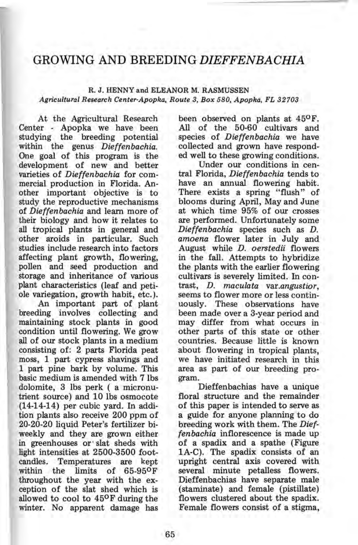## GROWING AND BREEDING *DIEFFENBACHIA*

## R. J. HENNY and ELEANOR M. RASMUSSEN *Agricultu,ral Research Center-Apopka, Route* 3, *Box 580, Apopka, FL 32703*

At the Agricultural Research Center - Apopka we have been studying the breeding potential within the genus *Dieffenbachia.*  One goal of this program is the development of new and better varieties of *Dieffenbachia* for commercial production in Florida. Another important objective is to study the reproductive mechanisms of *fJieffenbachia* and learn more of their biology and how it relates to all tropical plants in general and other aroids in particular. Such studies include research into factors affecting plant growth, flowering, pollen and seed production and storage and inheritance of various plant characteristics (leaf and petiole variegation, growth habit, etc.).

An important part of plant breeding involves collecting and maintaining stock plants in good condition until flowering. We grow all of our stock plants in a medium consisting of: 2 parts Florida peat moss, 1 part cypress shavings and 1 part pine bark by volume. This basic medium is amended with 7 lbs dolomite, 3 lbs perk ( a micronutrient source) and 10 lbs osmocote (14-14-14) per cubic yard. In addition plants also receive 200 ppm of 20-20-20 liquid Peter's fertilizer biweekly and they are grown either in greenhouses or' slat sheds with light intensities at 2500-3500 footcandles. Temperatures are kept within the limits of 65-95°F throughout the year with the exception of the slat shed which is allowed to cool to 45<sup>o</sup>F during the winter. No apparent damage has

been observed on plants at 45°F. All of the 50-60 cultivars and species of *Dieffenbachia* we have collected and grown have responded well to these growing conditions.

Under our conditions in central Florida, *Dieffenbachia* tends to have an annual flowering habit. There exists a spring "flush" of blooms during April, May and June at which time 95% of our crosses are performed. Unfortunately some *Dieffenbachia* species such as *D. amoena* flower later in July and August while *D. oerstedii* flowers in the fall. Attempts to hybridize the plants with the earlier flowering cultivars is severely limited. In contrast, *D. maculata var.angustior,*  seems to flower more or less continuously. These observations have been made over a 3-year period and may differ from what occurs in other parts of this state or other countries. Because little is known about flowering in tropical plants, we have initiated research in this area as part of our breeding program.

Dieffenbachias have a unique floral structure and the remainder of this paper is intended to serve as a guide for anyone planning to do breeding work with them. The *Dieffenbachia* inflorescence is made up of a spadix and a spathe (Figure lA-C). The spadix consists of an upright central axis covered with several minute petalless flowers. Dieffenbachias have separate male (staminate) and female (pistillate) flowers clustered about the spadix. Female flowers consist of a stigma,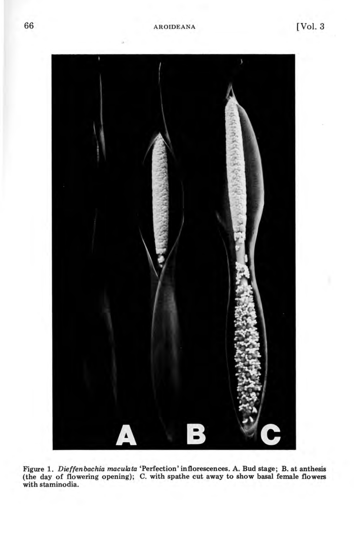

Figure 1. *Dieffenbachia maculata* 'Perfection' inflorescences. A. **Bud** stage; B. at anthesis (the day of flowering opening); C. with spathe cut away to show basal female flowers with staminodia.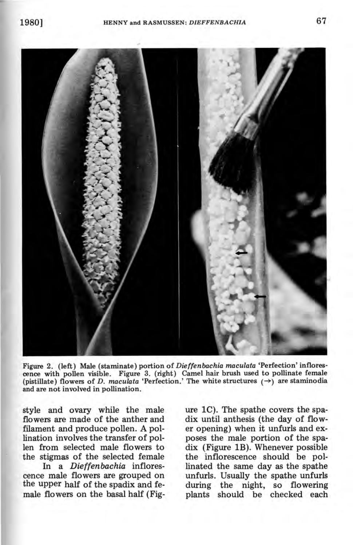

Figure 2. (left) Male (staminate) portion of *Dieffenbachia maculata* 'Perfection' inflorescence with pollen visible. Figure 3. (right) Camel hair brush used to pollinate female (pistillate) flowers of *D. maculata* 'Perfection.' The white structures  $(\rightarrow)$  are staminodia and are not involved in pollination.

style and ovary while the male flowers are made of the anther and filament and produce pollen. A pollination involves the transfer of pollen from selected male flowers to the stigmas of the selected female

In a *Dieffenbachia* inflorescence male flowers are grouped on the upper half of the spadix and female flowers on the basal half (Figure  $1C$ ). The spathe covers the spadix until anthesis (the day of flower opening) when it unfurls and exposes the male portion of the spadix (Figure IB). Whenever possible the inflorescence should be pollinated the same day as the spathe unfurls. Usually the spathe unfurls during the night, so flowering plants should be checked each